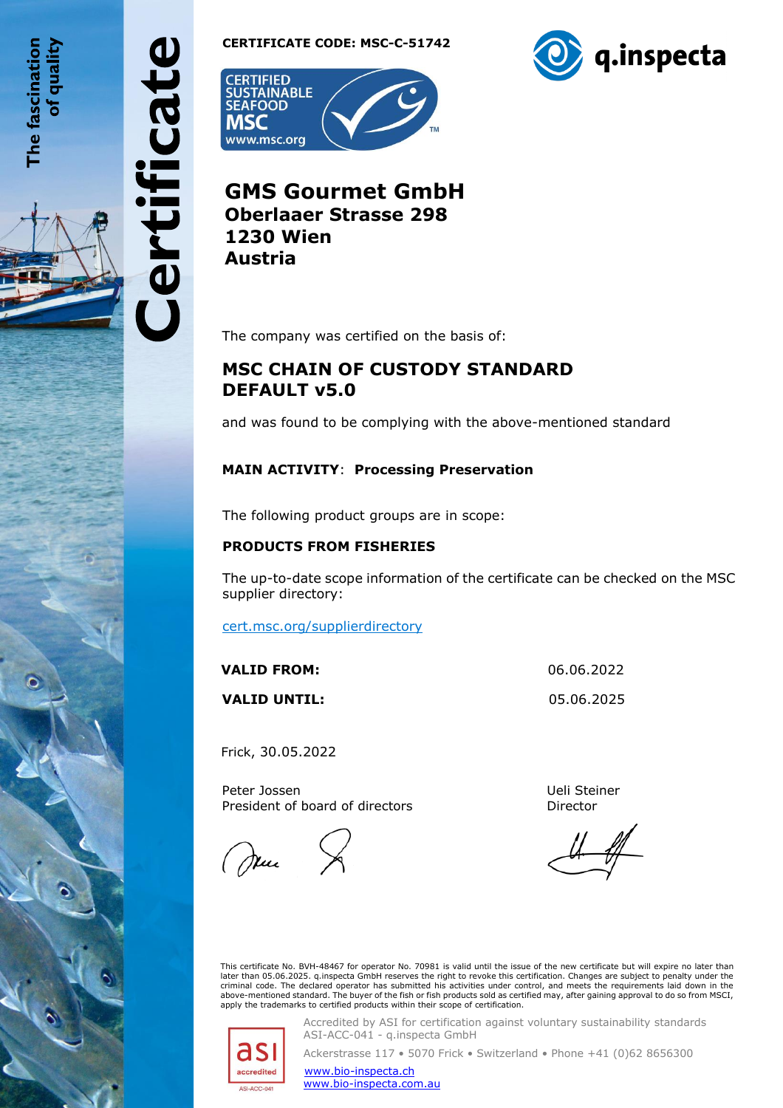The fascination of qualit

ertificate

**CERTIFICATE CODE: MSC-C-51742**





**GMS Gourmet GmbH Oberlaaer Strasse 298 1230 Wien Austria**

The company was certified on the basis of:

## **MSC CHAIN OF CUSTODY STANDARD DEFAULT v5.0**

and was found to be complying with the above-mentioned standard

## **MAIN ACTIVITY**: **Processing Preservation**

The following product groups are in scope:

## **PRODUCTS FROM FISHERIES**

The up-to-date scope information of the certificate can be checked on the MSC supplier directory:

[cert.msc.org/supplierdirectory](https://cert.msc.org/supplierdirectory/VController.aspx?Path=be2ac378-2a36-484c-8016-383699e2e466)

| VALID FROM:         | 06.06.2022 |
|---------------------|------------|
| <b>VALID UNTIL:</b> | 05.06.2025 |

Frick, 30.05.2022

Peter Jossen President of board of directors

(Juni

Ueli Steiner Director

This certificate No. BVH-48467 for operator No. 70981 is valid until the issue of the new certificate but will expire no later than<br>later than 05.06.2025. q.inspecta GmbH reserves the right to revoke this certification. Ch criminal code. The declared operator has submitted his activities under control, and meets the requirements laid down in the above-mentioned standard. The buyer of the fish or fish products sold as certified may, after gaining approval to do so from MSCI,<br>apply the trademarks to certified products within their scope of certification.



Accredited by ASI for certification against voluntary sustainability standards ASI-ACC-041 - q.inspecta GmbH

Ackerstrasse 117 • 5070 Frick • Switzerland • Phone +41 (0)62 8656300

[www.bio-inspecta.ch](http://www.bio-inspecta.ch/)

[www.bio-inspecta.com.au](file:///C:/Users/anna.gillon/AppData/Local/Microsoft/Windows/INetCache/Content.Outlook/1UOL5191/www.bio-inspecta.com.au)